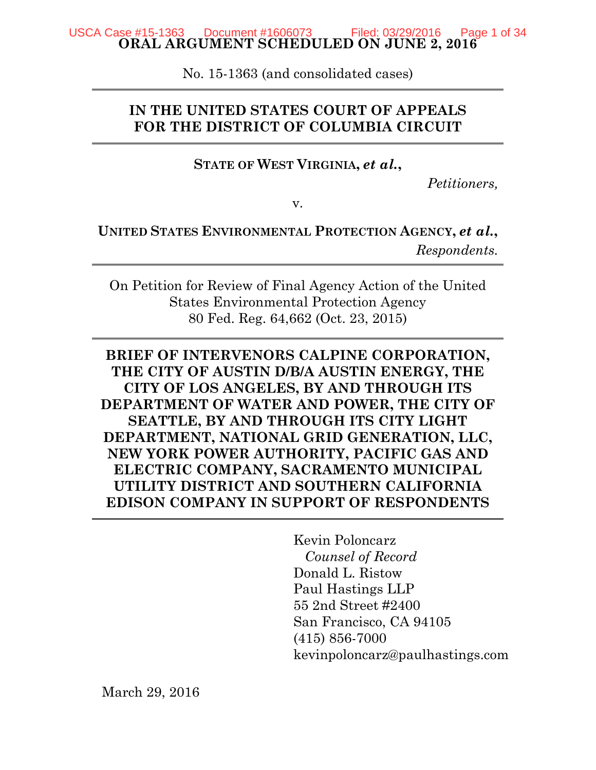#### **ORAL ARGUMENT SCHEDULED ON JUNE 2, 2016**  USCA Case #15-1363 Document #1606073 \_\_ Filed: 03/29/2016 Page 1 of 34

No. 15-1363 (and consolidated cases)

# **IN THE UNITED STATES COURT OF APPEALS FOR THE DISTRICT OF COLUMBIA CIRCUIT**

**STATE OF WEST VIRGINIA,** *et al.***,**

*Petitioners,*

v.

**UNITED STATES ENVIRONMENTAL PROTECTION AGENCY,** *et al.***,** *Respondents.*

On Petition for Review of Final Agency Action of the United States Environmental Protection Agency 80 Fed. Reg. 64,662 (Oct. 23, 2015)

# **BRIEF OF INTERVENORS CALPINE CORPORATION, THE CITY OF AUSTIN D/B/A AUSTIN ENERGY, THE CITY OF LOS ANGELES, BY AND THROUGH ITS DEPARTMENT OF WATER AND POWER, THE CITY OF SEATTLE, BY AND THROUGH ITS CITY LIGHT DEPARTMENT, NATIONAL GRID GENERATION, LLC, NEW YORK POWER AUTHORITY, PACIFIC GAS AND ELECTRIC COMPANY, SACRAMENTO MUNICIPAL UTILITY DISTRICT AND SOUTHERN CALIFORNIA EDISON COMPANY IN SUPPORT OF RESPONDENTS**

Kevin Poloncarz  *Counsel of Record*  Donald L. Ristow Paul Hastings LLP 55 2nd Street #2400 San Francisco, CA 94105 (415) 856-7000 kevinpoloncarz@paulhastings.com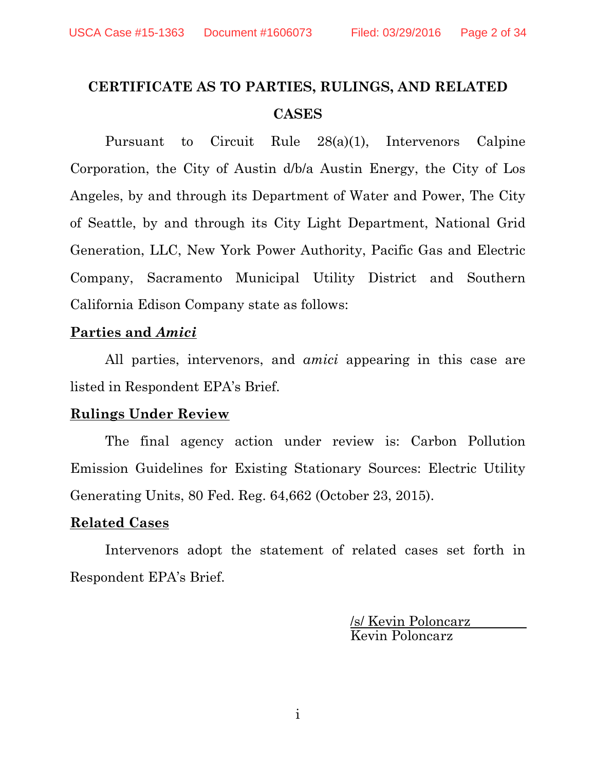# **CERTIFICATE AS TO PARTIES, RULINGS, AND RELATED CASES**

Pursuant to Circuit Rule 28(a)(1), Intervenors Calpine Corporation, the City of Austin d/b/a Austin Energy, the City of Los Angeles, by and through its Department of Water and Power, The City of Seattle, by and through its City Light Department, National Grid Generation, LLC, New York Power Authority, Pacific Gas and Electric Company, Sacramento Municipal Utility District and Southern California Edison Company state as follows:

### **Parties and** *Amici*

All parties, intervenors, and *amici* appearing in this case are listed in Respondent EPA's Brief.

### **Rulings Under Review**

 The final agency action under review is: Carbon Pollution Emission Guidelines for Existing Stationary Sources: Electric Utility Generating Units, 80 Fed. Reg. 64,662 (October 23, 2015).

### **Related Cases**

 Intervenors adopt the statement of related cases set forth in Respondent EPA's Brief.

> /s/ Kevin Poloncarz Kevin Poloncarz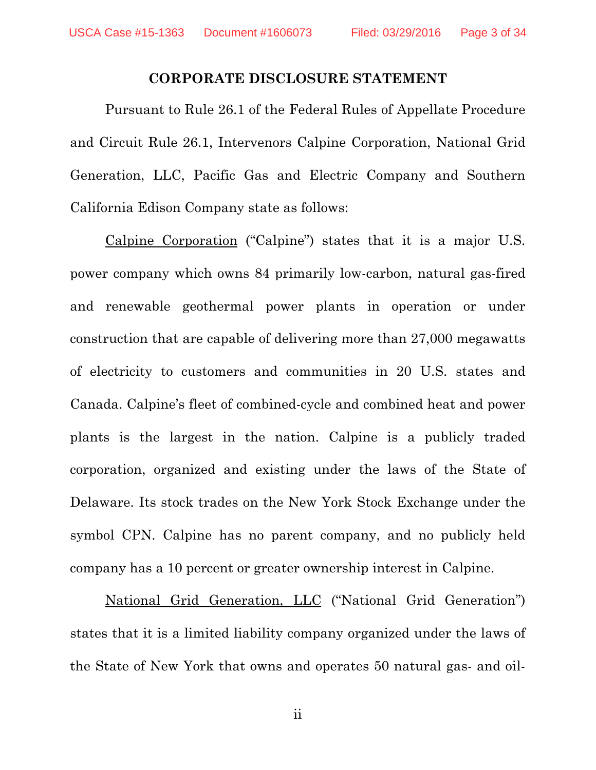#### **CORPORATE DISCLOSURE STATEMENT**

Pursuant to Rule 26.1 of the Federal Rules of Appellate Procedure and Circuit Rule 26.1, Intervenors Calpine Corporation, National Grid Generation, LLC, Pacific Gas and Electric Company and Southern California Edison Company state as follows:

 Calpine Corporation ("Calpine") states that it is a major U.S. power company which owns 84 primarily low-carbon, natural gas-fired and renewable geothermal power plants in operation or under construction that are capable of delivering more than 27,000 megawatts of electricity to customers and communities in 20 U.S. states and Canada. Calpine's fleet of combined-cycle and combined heat and power plants is the largest in the nation. Calpine is a publicly traded corporation, organized and existing under the laws of the State of Delaware. Its stock trades on the New York Stock Exchange under the symbol CPN. Calpine has no parent company, and no publicly held company has a 10 percent or greater ownership interest in Calpine.

 National Grid Generation, LLC ("National Grid Generation") states that it is a limited liability company organized under the laws of the State of New York that owns and operates 50 natural gas- and oil-

ii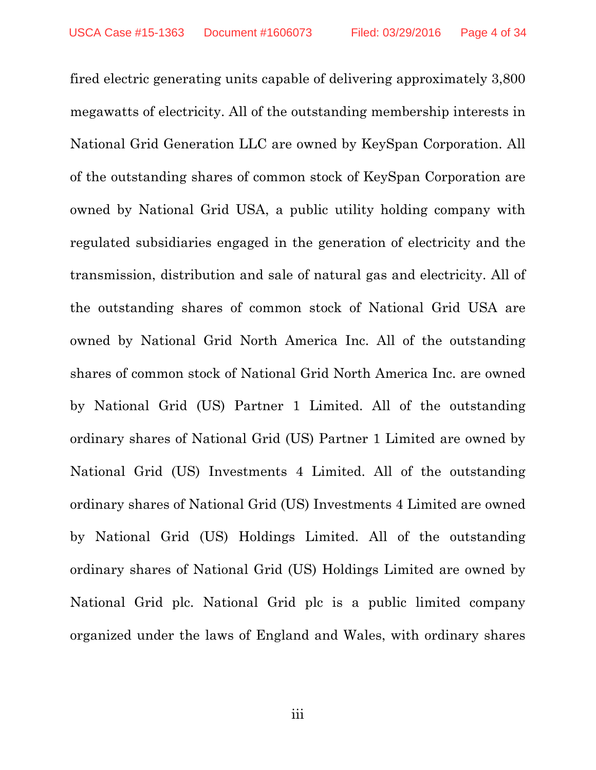fired electric generating units capable of delivering approximately 3,800 megawatts of electricity. All of the outstanding membership interests in National Grid Generation LLC are owned by KeySpan Corporation. All of the outstanding shares of common stock of KeySpan Corporation are owned by National Grid USA, a public utility holding company with regulated subsidiaries engaged in the generation of electricity and the transmission, distribution and sale of natural gas and electricity. All of the outstanding shares of common stock of National Grid USA are owned by National Grid North America Inc. All of the outstanding shares of common stock of National Grid North America Inc. are owned by National Grid (US) Partner 1 Limited. All of the outstanding ordinary shares of National Grid (US) Partner 1 Limited are owned by National Grid (US) Investments 4 Limited. All of the outstanding ordinary shares of National Grid (US) Investments 4 Limited are owned by National Grid (US) Holdings Limited. All of the outstanding ordinary shares of National Grid (US) Holdings Limited are owned by National Grid plc. National Grid plc is a public limited company organized under the laws of England and Wales, with ordinary shares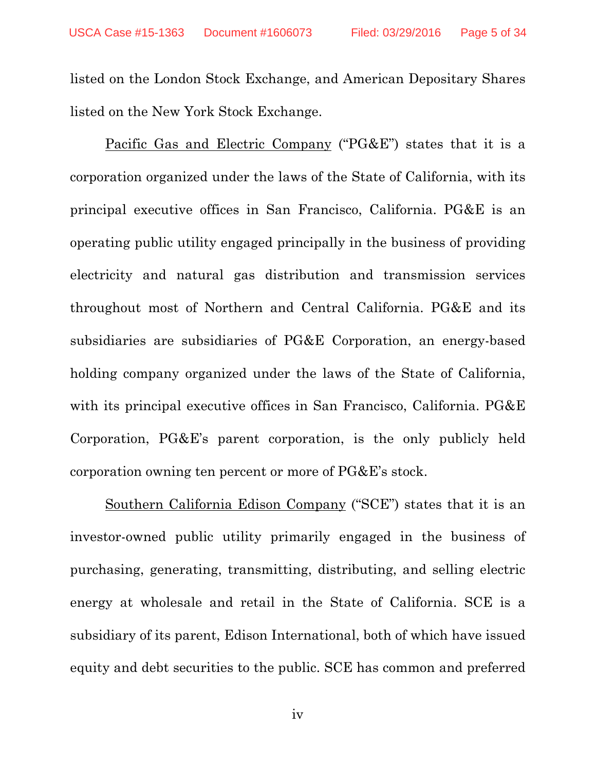listed on the London Stock Exchange, and American Depositary Shares listed on the New York Stock Exchange.

 Pacific Gas and Electric Company ("PG&E") states that it is a corporation organized under the laws of the State of California, with its principal executive offices in San Francisco, California. PG&E is an operating public utility engaged principally in the business of providing electricity and natural gas distribution and transmission services throughout most of Northern and Central California. PG&E and its subsidiaries are subsidiaries of PG&E Corporation, an energy-based holding company organized under the laws of the State of California, with its principal executive offices in San Francisco, California. PG&E Corporation, PG&E's parent corporation, is the only publicly held corporation owning ten percent or more of PG&E's stock.

 Southern California Edison Company ("SCE") states that it is an investor-owned public utility primarily engaged in the business of purchasing, generating, transmitting, distributing, and selling electric energy at wholesale and retail in the State of California. SCE is a subsidiary of its parent, Edison International, both of which have issued equity and debt securities to the public. SCE has common and preferred

iv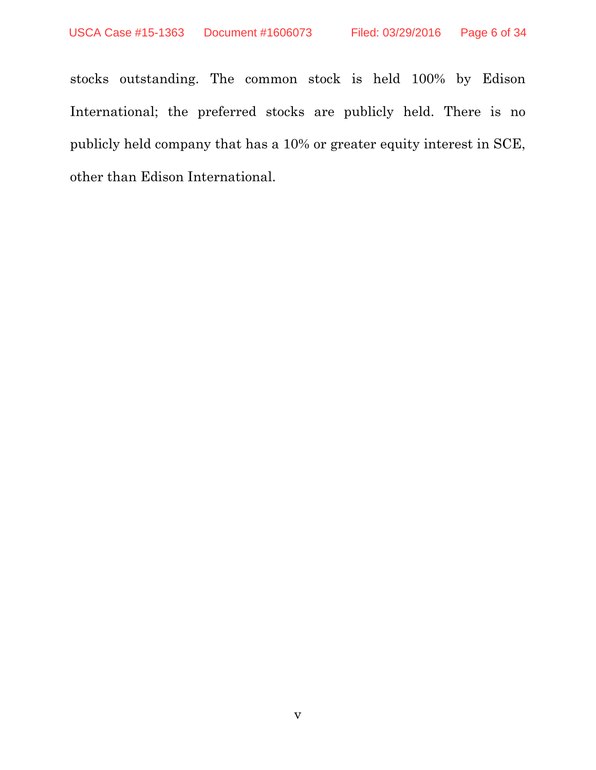stocks outstanding. The common stock is held 100% by Edison International; the preferred stocks are publicly held. There is no publicly held company that has a 10% or greater equity interest in SCE, other than Edison International.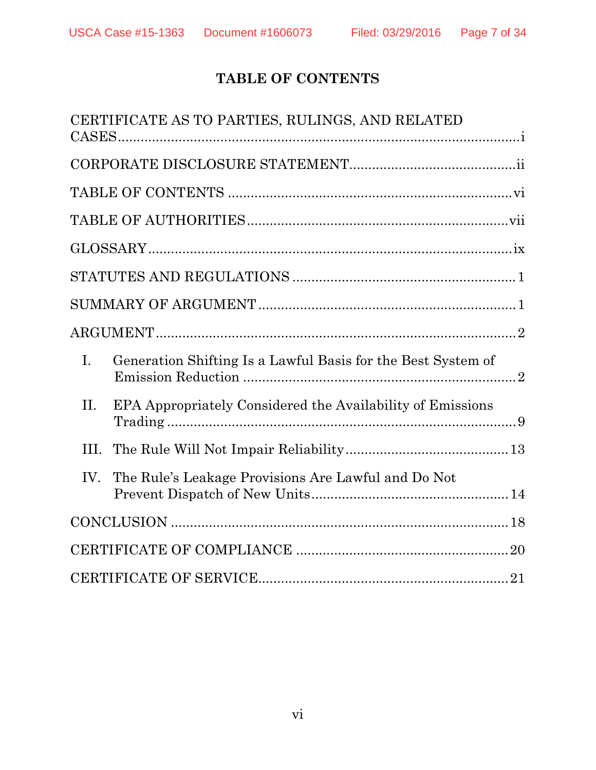# **TABLE OF CONTENTS**

|      | CERTIFICATE AS TO PARTIES, RULINGS, AND RELATED                                                                                                                                                                                                                                                                                                                                                                                                                                                                                       |
|------|---------------------------------------------------------------------------------------------------------------------------------------------------------------------------------------------------------------------------------------------------------------------------------------------------------------------------------------------------------------------------------------------------------------------------------------------------------------------------------------------------------------------------------------|
|      |                                                                                                                                                                                                                                                                                                                                                                                                                                                                                                                                       |
|      |                                                                                                                                                                                                                                                                                                                                                                                                                                                                                                                                       |
|      |                                                                                                                                                                                                                                                                                                                                                                                                                                                                                                                                       |
|      |                                                                                                                                                                                                                                                                                                                                                                                                                                                                                                                                       |
|      | $\begin{minipage}{.4\linewidth} \textbf{STATUTES AND REGULATIONS} \end{minipage} \begin{minipage}{.4\linewidth} \textbf{1} \end{minipage} \begin{minipage}{.4\linewidth} \textbf{1} \end{minipage} \begin{minipage}{.4\linewidth} \textbf{2} \end{minipage} \begin{minipage}{.4\linewidth} \textbf{3} \end{minipage} \begin{minipage}{.4\linewidth} \textbf{4} \end{minipage} \begin{minipage}{.4\linewidth} \textbf{5} \end{minipage} \begin{minipage}{.4\linewidth} \textbf{5} \end{minipage} \begin{minipage}{.4\linewidth} \text$ |
|      |                                                                                                                                                                                                                                                                                                                                                                                                                                                                                                                                       |
|      |                                                                                                                                                                                                                                                                                                                                                                                                                                                                                                                                       |
| I.   | Generation Shifting Is a Lawful Basis for the Best System of                                                                                                                                                                                                                                                                                                                                                                                                                                                                          |
| Η.   | EPA Appropriately Considered the Availability of Emissions                                                                                                                                                                                                                                                                                                                                                                                                                                                                            |
| III. |                                                                                                                                                                                                                                                                                                                                                                                                                                                                                                                                       |
| IV.  | The Rule's Leakage Provisions Are Lawful and Do Not                                                                                                                                                                                                                                                                                                                                                                                                                                                                                   |
|      |                                                                                                                                                                                                                                                                                                                                                                                                                                                                                                                                       |
|      |                                                                                                                                                                                                                                                                                                                                                                                                                                                                                                                                       |
|      |                                                                                                                                                                                                                                                                                                                                                                                                                                                                                                                                       |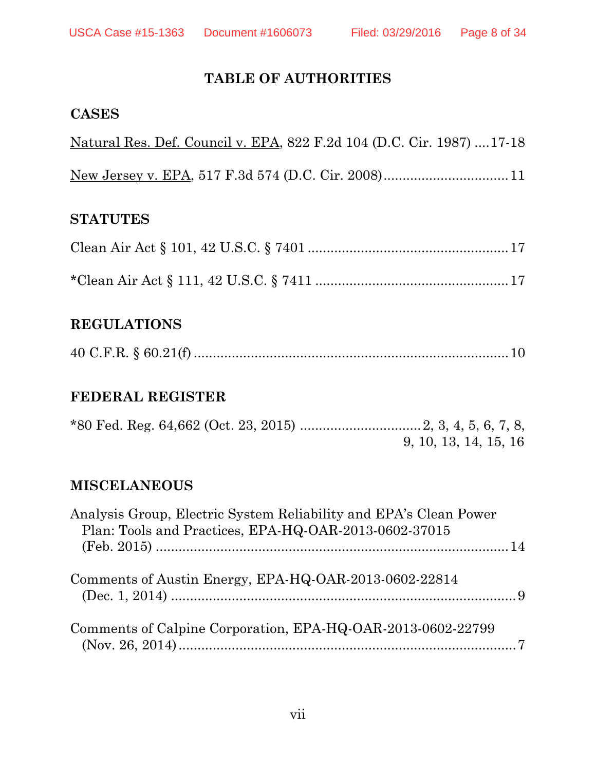# **TABLE OF AUTHORITIES**

### **CASES**

| Natural Res. Def. Council v. EPA, 822 F.2d 104 (D.C. Cir. 1987)  17-18 |  |  |
|------------------------------------------------------------------------|--|--|
|                                                                        |  |  |

## **STATUTES**

# **REGULATIONS**

|--|--|--|--|

# **FEDERAL REGISTER**

|  | 9, 10, 13, 14, 15, 16 |  |
|--|-----------------------|--|

# **MISCELANEOUS**

| Analysis Group, Electric System Reliability and EPA's Clean Power<br>Plan: Tools and Practices, EPA-HQ-OAR-2013-0602-37015 |  |
|----------------------------------------------------------------------------------------------------------------------------|--|
|                                                                                                                            |  |
| Comments of Austin Energy, EPA-HQ-OAR-2013-0602-22814                                                                      |  |
| Comments of Calpine Corporation, EPA-HQ-OAR-2013-0602-22799                                                                |  |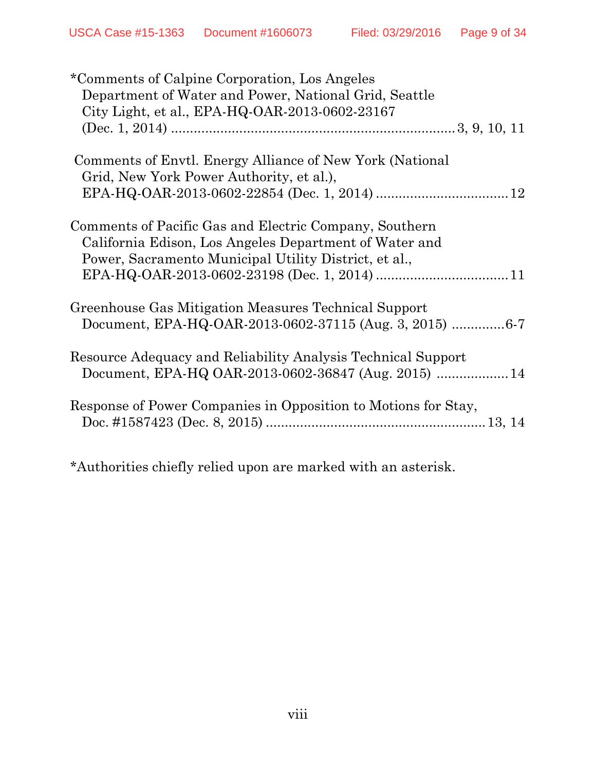| *Comments of Calpine Corporation, Los Angeles<br>Department of Water and Power, National Grid, Seattle<br>City Light, et al., EPA-HQ-OAR-2013-0602-23167                  |
|---------------------------------------------------------------------------------------------------------------------------------------------------------------------------|
|                                                                                                                                                                           |
| Comments of Envtl. Energy Alliance of New York (National<br>Grid, New York Power Authority, et al.),                                                                      |
|                                                                                                                                                                           |
| Comments of Pacific Gas and Electric Company, Southern<br>California Edison, Los Angeles Department of Water and<br>Power, Sacramento Municipal Utility District, et al., |
|                                                                                                                                                                           |
| Greenhouse Gas Mitigation Measures Technical Support                                                                                                                      |
|                                                                                                                                                                           |
| Resource Adequacy and Reliability Analysis Technical Support<br>Document, EPA-HQ OAR-2013-0602-36847 (Aug. 2015)  14                                                      |
| Response of Power Companies in Opposition to Motions for Stay,                                                                                                            |

\*Authorities chiefly relied upon are marked with an asterisk.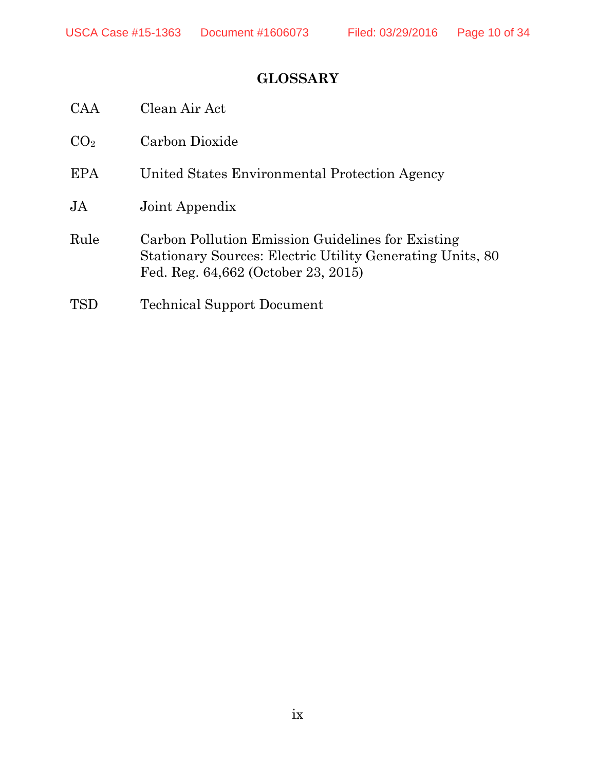# **GLOSSARY**

| CAA             | Clean Air Act                                                                                                                                                |
|-----------------|--------------------------------------------------------------------------------------------------------------------------------------------------------------|
| CO <sub>2</sub> | Carbon Dioxide                                                                                                                                               |
| EPA             | United States Environmental Protection Agency                                                                                                                |
| $\overline{A}$  | Joint Appendix                                                                                                                                               |
| Rule            | Carbon Pollution Emission Guidelines for Existing<br><b>Stationary Sources: Electric Utility Generating Units, 80</b><br>Fed. Reg. 64,662 (October 23, 2015) |
| TSD             | <b>Technical Support Document</b>                                                                                                                            |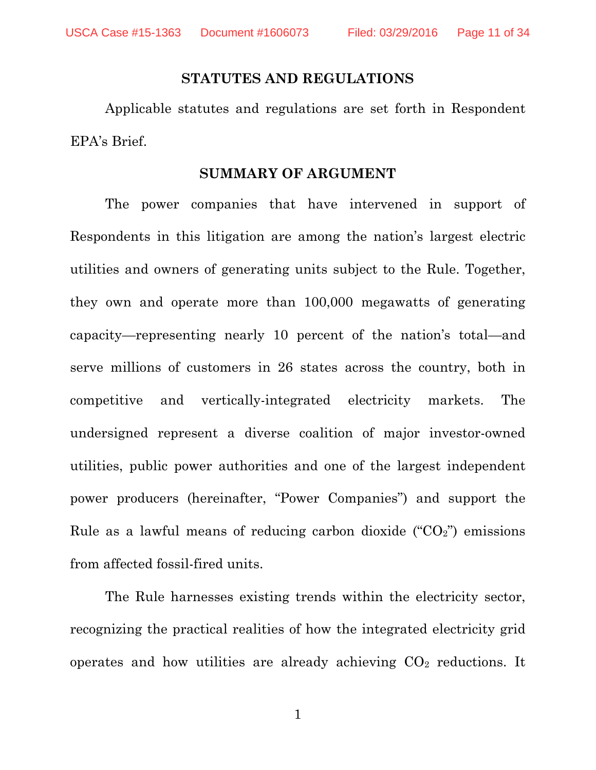#### **STATUTES AND REGULATIONS**

Applicable statutes and regulations are set forth in Respondent EPA's Brief.

#### **SUMMARY OF ARGUMENT**

The power companies that have intervened in support of Respondents in this litigation are among the nation's largest electric utilities and owners of generating units subject to the Rule. Together, they own and operate more than 100,000 megawatts of generating capacity—representing nearly 10 percent of the nation's total—and serve millions of customers in 26 states across the country, both in competitive and vertically-integrated electricity markets. The undersigned represent a diverse coalition of major investor-owned utilities, public power authorities and one of the largest independent power producers (hereinafter, "Power Companies") and support the Rule as a lawful means of reducing carbon dioxide  $(CO_2)$ <sup>"</sup>) emissions from affected fossil-fired units.

The Rule harnesses existing trends within the electricity sector, recognizing the practical realities of how the integrated electricity grid operates and how utilities are already achieving  $CO<sub>2</sub>$  reductions. It

1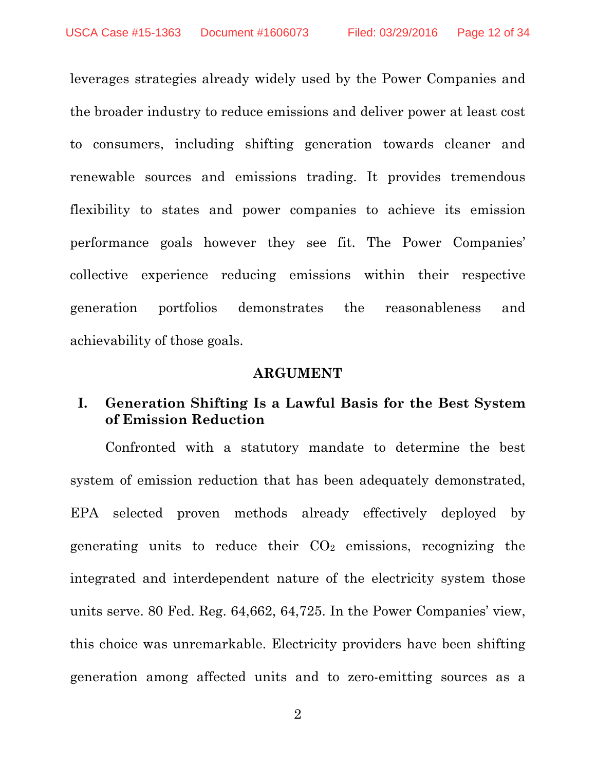leverages strategies already widely used by the Power Companies and the broader industry to reduce emissions and deliver power at least cost to consumers, including shifting generation towards cleaner and renewable sources and emissions trading. It provides tremendous flexibility to states and power companies to achieve its emission performance goals however they see fit. The Power Companies' collective experience reducing emissions within their respective generation portfolios demonstrates the reasonableness and achievability of those goals.

#### **ARGUMENT**

## **I. Generation Shifting Is a Lawful Basis for the Best System of Emission Reduction**

Confronted with a statutory mandate to determine the best system of emission reduction that has been adequately demonstrated, EPA selected proven methods already effectively deployed by generating units to reduce their  $CO<sub>2</sub>$  emissions, recognizing the integrated and interdependent nature of the electricity system those units serve. 80 Fed. Reg. 64,662, 64,725. In the Power Companies' view, this choice was unremarkable. Electricity providers have been shifting generation among affected units and to zero-emitting sources as a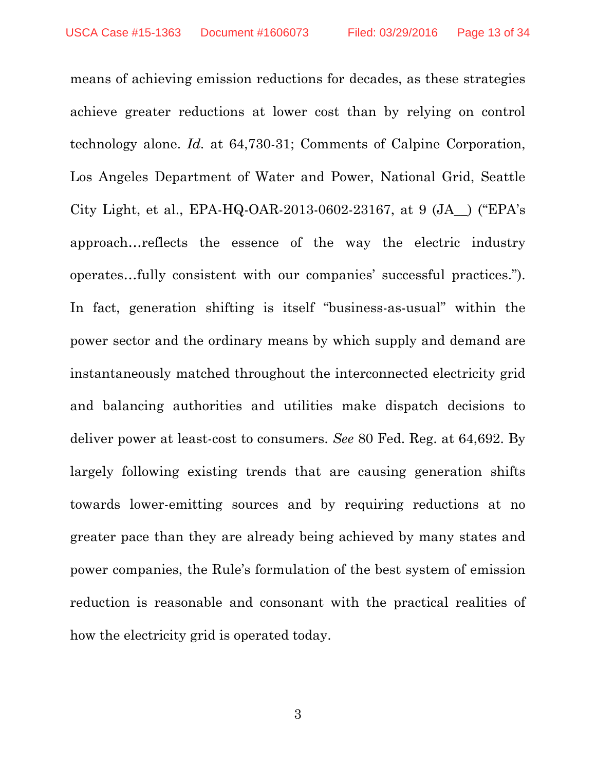means of achieving emission reductions for decades, as these strategies achieve greater reductions at lower cost than by relying on control technology alone. *Id.* at 64,730-31; Comments of Calpine Corporation, Los Angeles Department of Water and Power, National Grid, Seattle City Light, et al., EPA-HQ-OAR-2013-0602-23167, at  $9$  (JA) ("EPA's approach…reflects the essence of the way the electric industry operates…fully consistent with our companies' successful practices."). In fact, generation shifting is itself "business-as-usual" within the power sector and the ordinary means by which supply and demand are instantaneously matched throughout the interconnected electricity grid and balancing authorities and utilities make dispatch decisions to deliver power at least-cost to consumers. *See* 80 Fed. Reg. at 64,692. By largely following existing trends that are causing generation shifts towards lower-emitting sources and by requiring reductions at no greater pace than they are already being achieved by many states and power companies, the Rule's formulation of the best system of emission reduction is reasonable and consonant with the practical realities of how the electricity grid is operated today.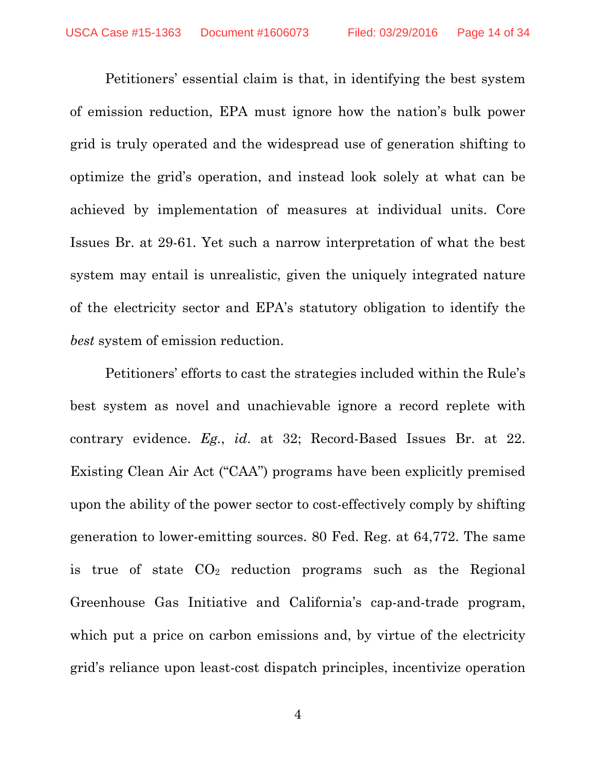Petitioners' essential claim is that, in identifying the best system of emission reduction, EPA must ignore how the nation's bulk power grid is truly operated and the widespread use of generation shifting to optimize the grid's operation, and instead look solely at what can be achieved by implementation of measures at individual units. Core Issues Br. at 29-61. Yet such a narrow interpretation of what the best system may entail is unrealistic, given the uniquely integrated nature of the electricity sector and EPA's statutory obligation to identify the *best* system of emission reduction.

Petitioners' efforts to cast the strategies included within the Rule's best system as novel and unachievable ignore a record replete with contrary evidence. *Eg.*, *id*. at 32; Record-Based Issues Br. at 22. Existing Clean Air Act ("CAA") programs have been explicitly premised upon the ability of the power sector to cost-effectively comply by shifting generation to lower-emitting sources. 80 Fed. Reg. at 64,772. The same is true of state  $CO<sub>2</sub>$  reduction programs such as the Regional Greenhouse Gas Initiative and California's cap-and-trade program, which put a price on carbon emissions and, by virtue of the electricity grid's reliance upon least-cost dispatch principles, incentivize operation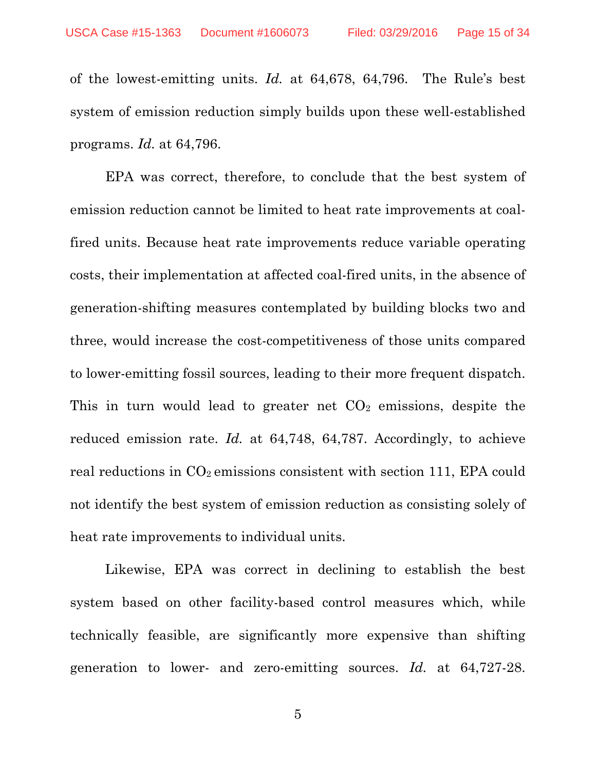of the lowest-emitting units. *Id.* at 64,678, 64,796. The Rule's best system of emission reduction simply builds upon these well-established programs. *Id.* at 64,796.

EPA was correct, therefore, to conclude that the best system of emission reduction cannot be limited to heat rate improvements at coalfired units. Because heat rate improvements reduce variable operating costs, their implementation at affected coal-fired units, in the absence of generation-shifting measures contemplated by building blocks two and three, would increase the cost-competitiveness of those units compared to lower-emitting fossil sources, leading to their more frequent dispatch. This in turn would lead to greater net  $CO<sub>2</sub>$  emissions, despite the reduced emission rate. *Id.* at 64,748, 64,787. Accordingly, to achieve real reductions in  $CO<sub>2</sub>$  emissions consistent with section 111, EPA could not identify the best system of emission reduction as consisting solely of heat rate improvements to individual units.

Likewise, EPA was correct in declining to establish the best system based on other facility-based control measures which, while technically feasible, are significantly more expensive than shifting generation to lower- and zero-emitting sources. *Id.* at 64,727-28.

5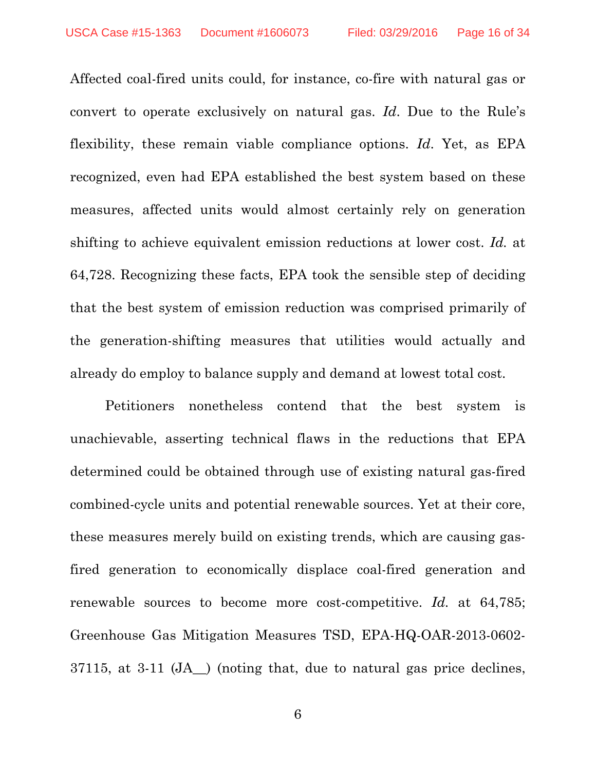Affected coal-fired units could, for instance, co-fire with natural gas or convert to operate exclusively on natural gas. *Id*. Due to the Rule's flexibility, these remain viable compliance options. *Id*. Yet, as EPA recognized, even had EPA established the best system based on these measures, affected units would almost certainly rely on generation shifting to achieve equivalent emission reductions at lower cost. *Id.* at 64,728. Recognizing these facts, EPA took the sensible step of deciding that the best system of emission reduction was comprised primarily of the generation-shifting measures that utilities would actually and already do employ to balance supply and demand at lowest total cost.

Petitioners nonetheless contend that the best system is unachievable, asserting technical flaws in the reductions that EPA determined could be obtained through use of existing natural gas-fired combined-cycle units and potential renewable sources. Yet at their core, these measures merely build on existing trends, which are causing gasfired generation to economically displace coal-fired generation and renewable sources to become more cost-competitive. *Id.* at 64,785; Greenhouse Gas Mitigation Measures TSD, EPA-HQ-OAR-2013-0602- 37115, at 3-11 (JA\_\_) (noting that, due to natural gas price declines,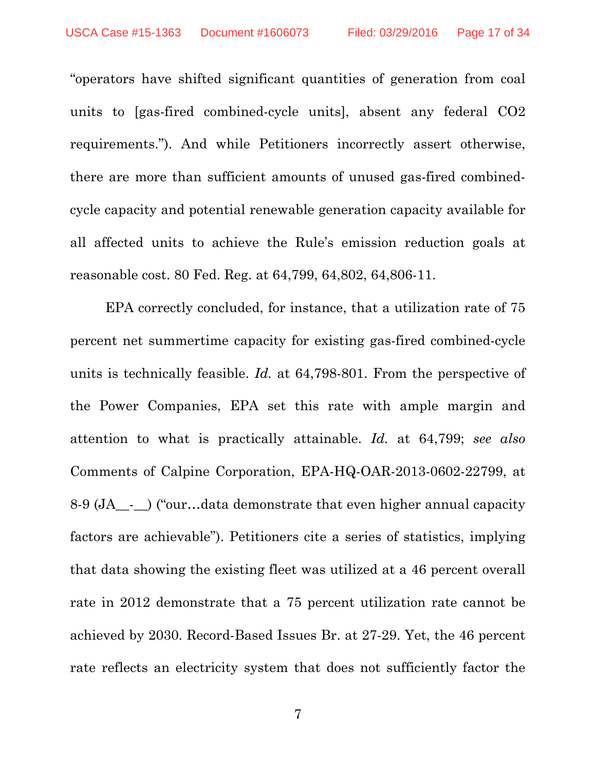"operators have shifted significant quantities of generation from coal units to [gas-fired combined-cycle units], absent any federal CO2 requirements."). And while Petitioners incorrectly assert otherwise, there are more than sufficient amounts of unused gas-fired combinedcycle capacity and potential renewable generation capacity available for all affected units to achieve the Rule's emission reduction goals at reasonable cost. 80 Fed. Reg. at 64,799, 64,802, 64,806-11.

EPA correctly concluded, for instance, that a utilization rate of 75 percent net summertime capacity for existing gas-fired combined-cycle units is technically feasible. *Id.* at 64,798-801. From the perspective of the Power Companies, EPA set this rate with ample margin and attention to what is practically attainable. *Id.* at 64,799; *see also*  Comments of Calpine Corporation, EPA-HQ-OAR-2013-0602-22799, at 8-9 (JA\_\_-\_\_) ("our…data demonstrate that even higher annual capacity factors are achievable"). Petitioners cite a series of statistics, implying that data showing the existing fleet was utilized at a 46 percent overall rate in 2012 demonstrate that a 75 percent utilization rate cannot be achieved by 2030. Record-Based Issues Br. at 27-29. Yet, the 46 percent rate reflects an electricity system that does not sufficiently factor the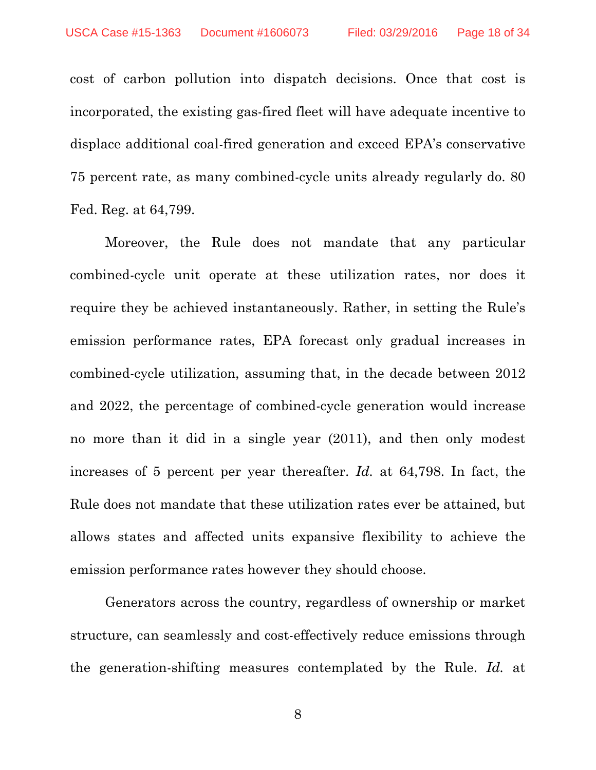cost of carbon pollution into dispatch decisions. Once that cost is incorporated, the existing gas-fired fleet will have adequate incentive to displace additional coal-fired generation and exceed EPA's conservative 75 percent rate, as many combined-cycle units already regularly do. 80 Fed. Reg. at 64,799.

Moreover, the Rule does not mandate that any particular combined-cycle unit operate at these utilization rates, nor does it require they be achieved instantaneously. Rather, in setting the Rule's emission performance rates, EPA forecast only gradual increases in combined-cycle utilization, assuming that, in the decade between 2012 and 2022, the percentage of combined-cycle generation would increase no more than it did in a single year (2011), and then only modest increases of 5 percent per year thereafter. *Id.* at 64,798. In fact, the Rule does not mandate that these utilization rates ever be attained, but allows states and affected units expansive flexibility to achieve the emission performance rates however they should choose.

Generators across the country, regardless of ownership or market structure, can seamlessly and cost-effectively reduce emissions through the generation-shifting measures contemplated by the Rule. *Id.* at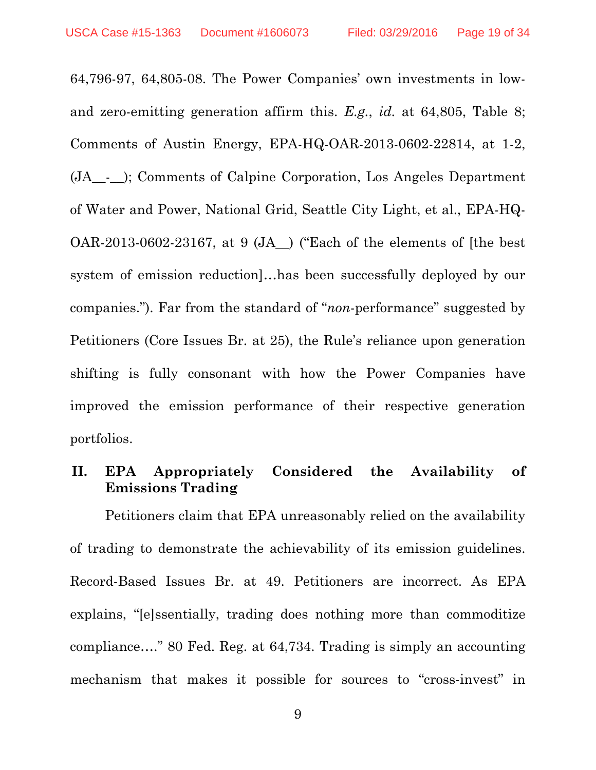64,796-97, 64,805-08. The Power Companies' own investments in lowand zero-emitting generation affirm this. *E.g.*, *id.* at 64,805, Table 8; Comments of Austin Energy, EPA-HQ-OAR-2013-0602-22814, at 1-2, (JA\_\_-\_\_); Comments of Calpine Corporation, Los Angeles Department of Water and Power, National Grid, Seattle City Light, et al., EPA-HQ-OAR-2013-0602-23167, at 9 (JA\_\_) ("Each of the elements of [the best system of emission reduction]…has been successfully deployed by our companies."). Far from the standard of "*non*-performance" suggested by Petitioners (Core Issues Br. at 25), the Rule's reliance upon generation shifting is fully consonant with how the Power Companies have improved the emission performance of their respective generation portfolios.

### **II. EPA Appropriately Considered the Availability of Emissions Trading**

Petitioners claim that EPA unreasonably relied on the availability of trading to demonstrate the achievability of its emission guidelines. Record-Based Issues Br. at 49. Petitioners are incorrect. As EPA explains, "[e]ssentially, trading does nothing more than commoditize compliance…." 80 Fed. Reg. at 64,734. Trading is simply an accounting mechanism that makes it possible for sources to "cross-invest" in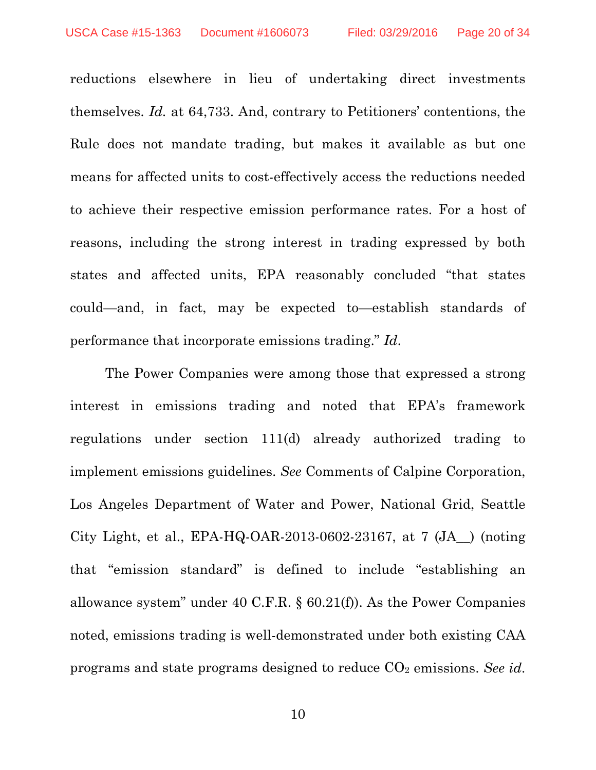reductions elsewhere in lieu of undertaking direct investments themselves. *Id.* at 64,733. And, contrary to Petitioners' contentions, the Rule does not mandate trading, but makes it available as but one means for affected units to cost-effectively access the reductions needed to achieve their respective emission performance rates. For a host of reasons, including the strong interest in trading expressed by both states and affected units, EPA reasonably concluded "that states could—and, in fact, may be expected to—establish standards of performance that incorporate emissions trading." *Id*.

The Power Companies were among those that expressed a strong interest in emissions trading and noted that EPA's framework regulations under section 111(d) already authorized trading to implement emissions guidelines. *See* Comments of Calpine Corporation, Los Angeles Department of Water and Power, National Grid, Seattle City Light, et al., EPA-HQ-OAR-2013-0602-23167, at 7 (JA\_\_) (noting that "emission standard" is defined to include "establishing an allowance system" under 40 C.F.R. § 60.21(f)). As the Power Companies noted, emissions trading is well-demonstrated under both existing CAA programs and state programs designed to reduce CO2 emissions. *See id*.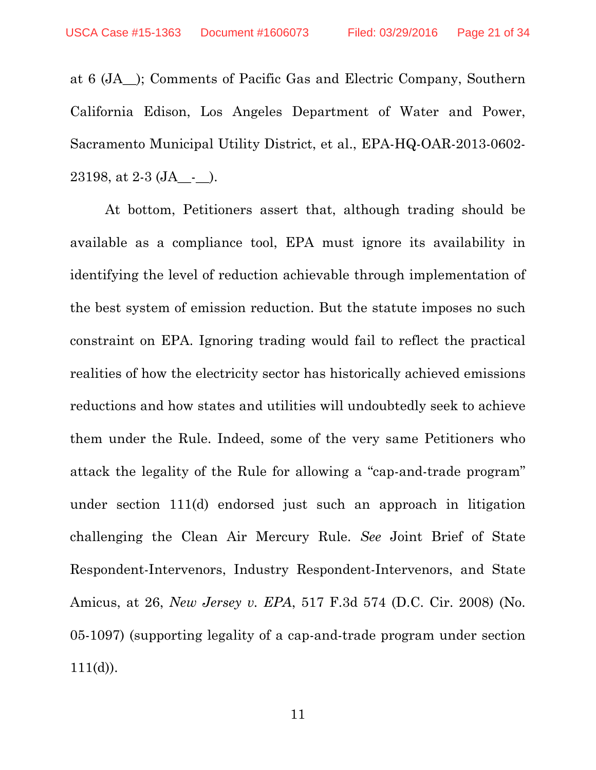at 6 (JA\_\_); Comments of Pacific Gas and Electric Company, Southern California Edison, Los Angeles Department of Water and Power, Sacramento Municipal Utility District, et al., EPA-HQ-OAR-2013-0602- 23198, at  $2-3$  (JA\_-\_).

At bottom, Petitioners assert that, although trading should be available as a compliance tool, EPA must ignore its availability in identifying the level of reduction achievable through implementation of the best system of emission reduction. But the statute imposes no such constraint on EPA. Ignoring trading would fail to reflect the practical realities of how the electricity sector has historically achieved emissions reductions and how states and utilities will undoubtedly seek to achieve them under the Rule. Indeed, some of the very same Petitioners who attack the legality of the Rule for allowing a "cap-and-trade program" under section 111(d) endorsed just such an approach in litigation challenging the Clean Air Mercury Rule. *See* Joint Brief of State Respondent-Intervenors, Industry Respondent-Intervenors, and State Amicus, at 26, *New Jersey v. EPA*, 517 F.3d 574 (D.C. Cir. 2008) (No. 05-1097) (supporting legality of a cap-and-trade program under section  $111(d)$ ).

11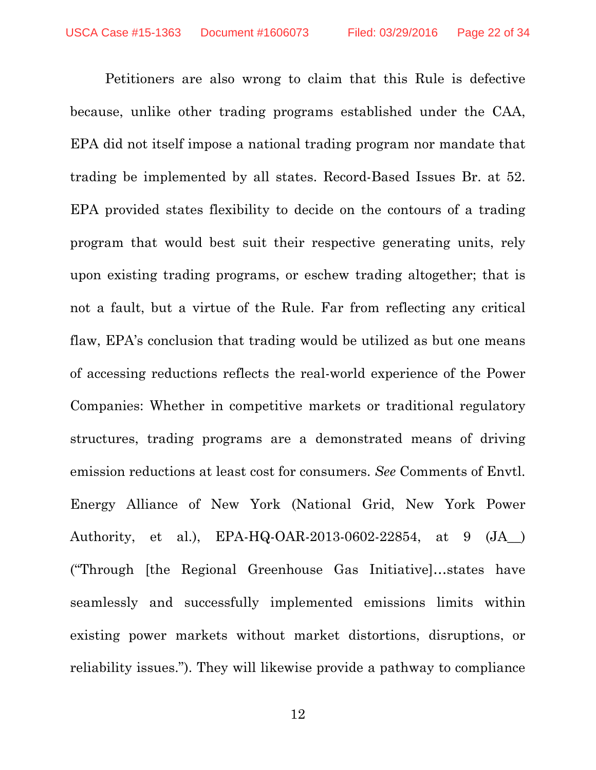Petitioners are also wrong to claim that this Rule is defective because, unlike other trading programs established under the CAA, EPA did not itself impose a national trading program nor mandate that trading be implemented by all states. Record-Based Issues Br. at 52. EPA provided states flexibility to decide on the contours of a trading program that would best suit their respective generating units, rely upon existing trading programs, or eschew trading altogether; that is not a fault, but a virtue of the Rule. Far from reflecting any critical flaw, EPA's conclusion that trading would be utilized as but one means of accessing reductions reflects the real-world experience of the Power Companies: Whether in competitive markets or traditional regulatory structures, trading programs are a demonstrated means of driving emission reductions at least cost for consumers. *See* Comments of Envtl. Energy Alliance of New York (National Grid, New York Power Authority, et al.), EPA-HQ-OAR-2013-0602-22854, at 9 (JA\_\_) ("Through [the Regional Greenhouse Gas Initiative]…states have seamlessly and successfully implemented emissions limits within existing power markets without market distortions, disruptions, or reliability issues."). They will likewise provide a pathway to compliance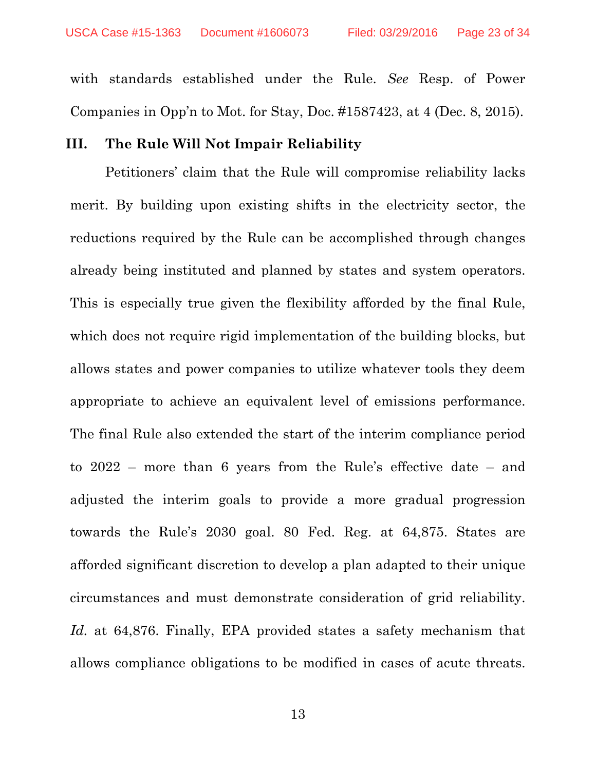with standards established under the Rule. *See* Resp. of Power Companies in Opp'n to Mot. for Stay, Doc. #1587423, at 4 (Dec. 8, 2015).

#### **III. The Rule Will Not Impair Reliability**

Petitioners' claim that the Rule will compromise reliability lacks merit. By building upon existing shifts in the electricity sector, the reductions required by the Rule can be accomplished through changes already being instituted and planned by states and system operators. This is especially true given the flexibility afforded by the final Rule, which does not require rigid implementation of the building blocks, but allows states and power companies to utilize whatever tools they deem appropriate to achieve an equivalent level of emissions performance. The final Rule also extended the start of the interim compliance period to 2022 – more than 6 years from the Rule's effective date – and adjusted the interim goals to provide a more gradual progression towards the Rule's 2030 goal. 80 Fed. Reg. at 64,875. States are afforded significant discretion to develop a plan adapted to their unique circumstances and must demonstrate consideration of grid reliability. *Id.* at 64,876. Finally, EPA provided states a safety mechanism that allows compliance obligations to be modified in cases of acute threats.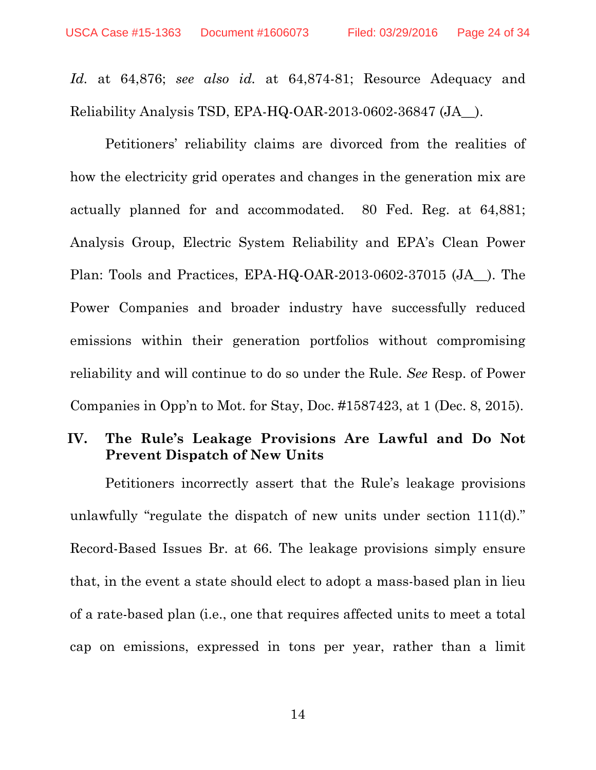*Id.* at 64,876; *see also id.* at 64,874-81; Resource Adequacy and Reliability Analysis TSD, EPA-HQ-OAR-2013-0602-36847 (JA\_\_).

Petitioners' reliability claims are divorced from the realities of how the electricity grid operates and changes in the generation mix are actually planned for and accommodated. 80 Fed. Reg. at 64,881; Analysis Group, Electric System Reliability and EPA's Clean Power Plan: Tools and Practices, EPA-HQ-OAR-2013-0602-37015 (JA\_\_). The Power Companies and broader industry have successfully reduced emissions within their generation portfolios without compromising reliability and will continue to do so under the Rule. *See* Resp. of Power Companies in Opp'n to Mot. for Stay, Doc. #1587423, at 1 (Dec. 8, 2015).

# **IV. The Rule's Leakage Provisions Are Lawful and Do Not Prevent Dispatch of New Units**

Petitioners incorrectly assert that the Rule's leakage provisions unlawfully "regulate the dispatch of new units under section 111(d)." Record-Based Issues Br. at 66. The leakage provisions simply ensure that, in the event a state should elect to adopt a mass-based plan in lieu of a rate-based plan (i.e., one that requires affected units to meet a total cap on emissions, expressed in tons per year, rather than a limit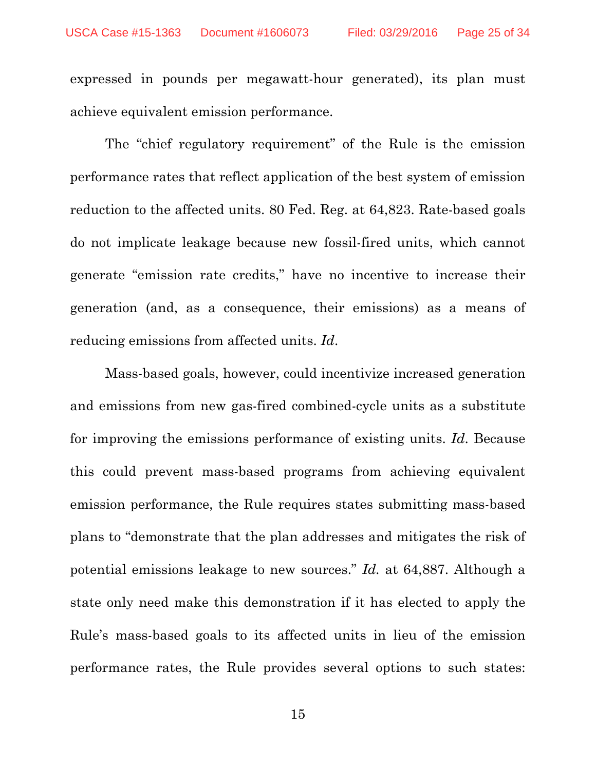expressed in pounds per megawatt-hour generated), its plan must achieve equivalent emission performance.

The "chief regulatory requirement" of the Rule is the emission performance rates that reflect application of the best system of emission reduction to the affected units. 80 Fed. Reg. at 64,823. Rate-based goals do not implicate leakage because new fossil-fired units, which cannot generate "emission rate credits," have no incentive to increase their generation (and, as a consequence, their emissions) as a means of reducing emissions from affected units. *Id*.

Mass-based goals, however, could incentivize increased generation and emissions from new gas-fired combined-cycle units as a substitute for improving the emissions performance of existing units. *Id*. Because this could prevent mass-based programs from achieving equivalent emission performance, the Rule requires states submitting mass-based plans to "demonstrate that the plan addresses and mitigates the risk of potential emissions leakage to new sources." *Id.* at 64,887. Although a state only need make this demonstration if it has elected to apply the Rule's mass-based goals to its affected units in lieu of the emission performance rates, the Rule provides several options to such states: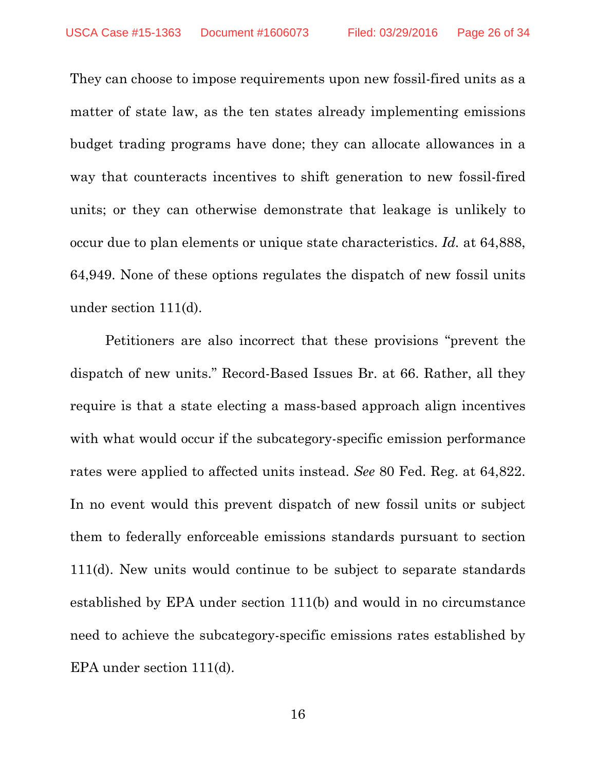They can choose to impose requirements upon new fossil-fired units as a matter of state law, as the ten states already implementing emissions budget trading programs have done; they can allocate allowances in a way that counteracts incentives to shift generation to new fossil-fired units; or they can otherwise demonstrate that leakage is unlikely to occur due to plan elements or unique state characteristics. *Id.* at 64,888, 64,949. None of these options regulates the dispatch of new fossil units under section 111(d).

Petitioners are also incorrect that these provisions "prevent the dispatch of new units." Record-Based Issues Br. at 66. Rather, all they require is that a state electing a mass-based approach align incentives with what would occur if the subcategory-specific emission performance rates were applied to affected units instead. *See* 80 Fed. Reg. at 64,822. In no event would this prevent dispatch of new fossil units or subject them to federally enforceable emissions standards pursuant to section 111(d). New units would continue to be subject to separate standards established by EPA under section 111(b) and would in no circumstance need to achieve the subcategory-specific emissions rates established by EPA under section 111(d).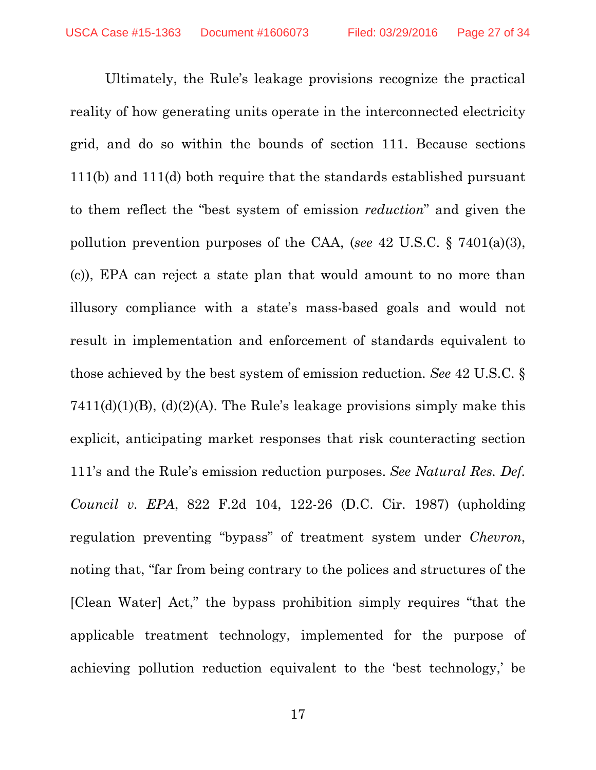Ultimately, the Rule's leakage provisions recognize the practical reality of how generating units operate in the interconnected electricity grid, and do so within the bounds of section 111. Because sections 111(b) and 111(d) both require that the standards established pursuant to them reflect the "best system of emission *reduction*" and given the pollution prevention purposes of the CAA, (*see* 42 U.S.C. § 7401(a)(3), (c)), EPA can reject a state plan that would amount to no more than illusory compliance with a state's mass-based goals and would not result in implementation and enforcement of standards equivalent to those achieved by the best system of emission reduction. *See* 42 U.S.C. §  $7411(d)(1)(B)$ ,  $(d)(2)(A)$ . The Rule's leakage provisions simply make this explicit, anticipating market responses that risk counteracting section 111's and the Rule's emission reduction purposes. *See Natural Res. Def. Council v. EPA*, 822 F.2d 104, 122-26 (D.C. Cir. 1987) (upholding regulation preventing "bypass" of treatment system under *Chevron*, noting that, "far from being contrary to the polices and structures of the [Clean Water] Act," the bypass prohibition simply requires "that the applicable treatment technology, implemented for the purpose of achieving pollution reduction equivalent to the 'best technology,' be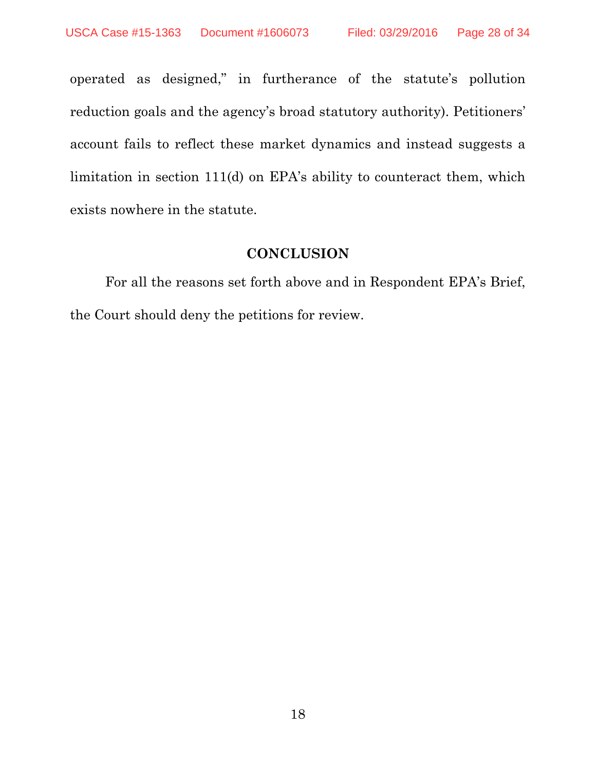operated as designed," in furtherance of the statute's pollution reduction goals and the agency's broad statutory authority). Petitioners' account fails to reflect these market dynamics and instead suggests a limitation in section 111(d) on EPA's ability to counteract them, which exists nowhere in the statute.

## **CONCLUSION**

For all the reasons set forth above and in Respondent EPA's Brief, the Court should deny the petitions for review.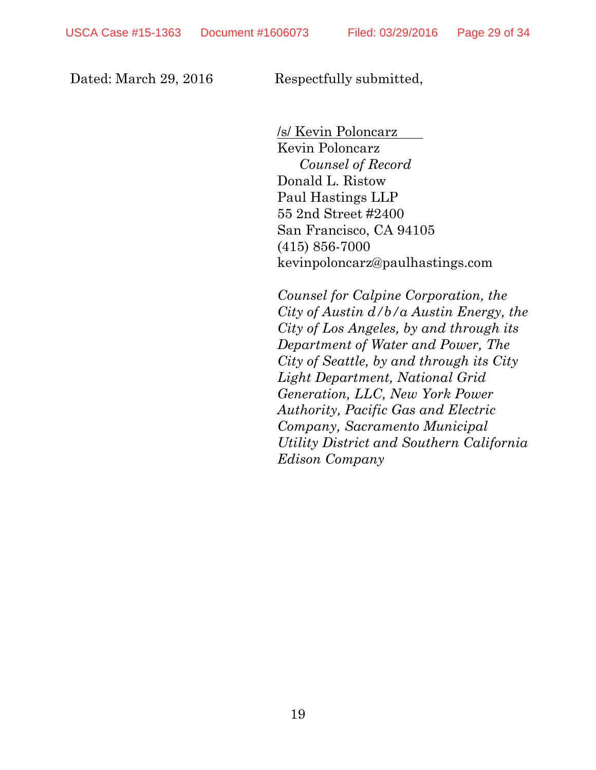Dated: March 29, 2016 Respectfully submitted,

 /s/ Kevin Poloncarz Kevin Poloncarz *Counsel of Record*  Donald L. Ristow Paul Hastings LLP 55 2nd Street #2400 San Francisco, CA 94105 (415) 856-7000 kevinpoloncarz@paulhastings.com

*Counsel for Calpine Corporation, the City of Austin d/b/a Austin Energy, the City of Los Angeles, by and through its Department of Water and Power, The City of Seattle, by and through its City Light Department, National Grid Generation, LLC, New York Power Authority, Pacific Gas and Electric Company, Sacramento Municipal Utility District and Southern California Edison Company*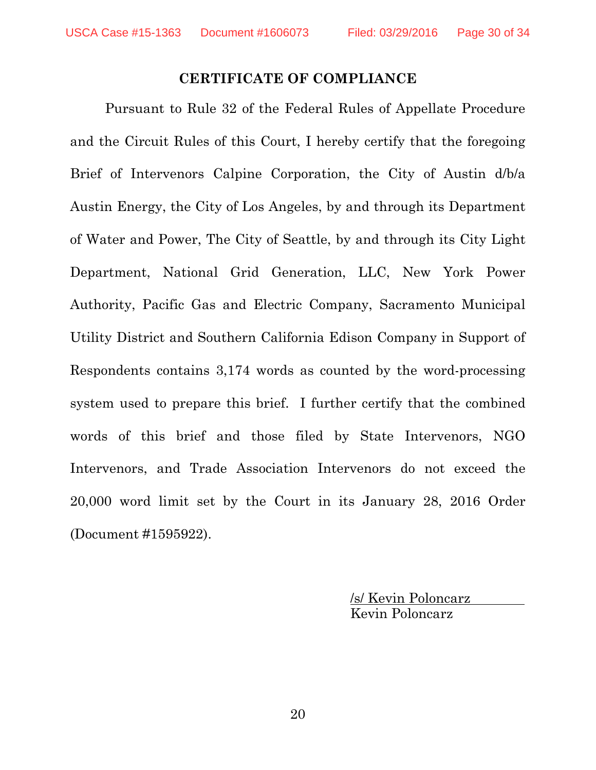#### **CERTIFICATE OF COMPLIANCE**

 Pursuant to Rule 32 of the Federal Rules of Appellate Procedure and the Circuit Rules of this Court, I hereby certify that the foregoing Brief of Intervenors Calpine Corporation, the City of Austin d/b/a Austin Energy, the City of Los Angeles, by and through its Department of Water and Power, The City of Seattle, by and through its City Light Department, National Grid Generation, LLC, New York Power Authority, Pacific Gas and Electric Company, Sacramento Municipal Utility District and Southern California Edison Company in Support of Respondents contains 3,174 words as counted by the word-processing system used to prepare this brief. I further certify that the combined words of this brief and those filed by State Intervenors, NGO Intervenors, and Trade Association Intervenors do not exceed the 20,000 word limit set by the Court in its January 28, 2016 Order (Document #1595922).

> /s/ Kevin Poloncarz Kevin Poloncarz

20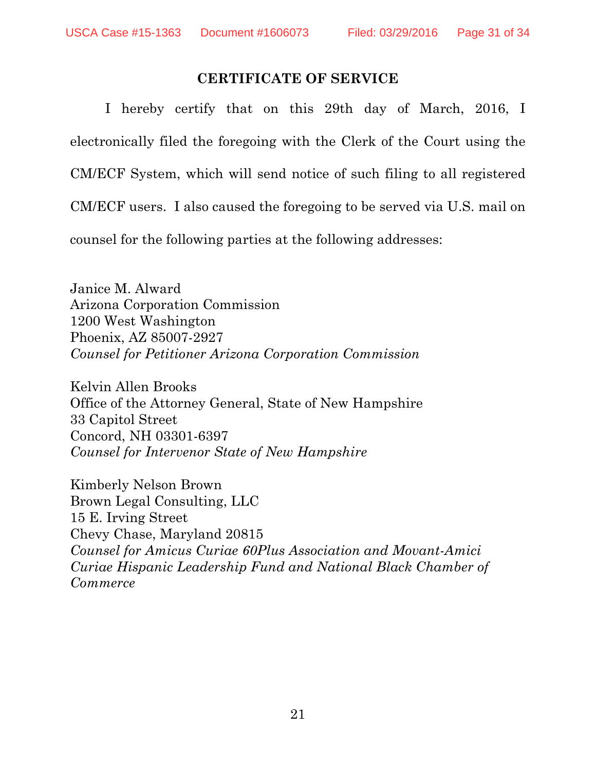### **CERTIFICATE OF SERVICE**

I hereby certify that on this 29th day of March, 2016, I electronically filed the foregoing with the Clerk of the Court using the CM/ECF System, which will send notice of such filing to all registered CM/ECF users. I also caused the foregoing to be served via U.S. mail on

counsel for the following parties at the following addresses:

Janice M. Alward Arizona Corporation Commission 1200 West Washington Phoenix, AZ 85007-2927 *Counsel for Petitioner Arizona Corporation Commission*

Kelvin Allen Brooks Office of the Attorney General, State of New Hampshire 33 Capitol Street Concord, NH 03301-6397 *Counsel for Intervenor State of New Hampshire* 

Kimberly Nelson Brown Brown Legal Consulting, LLC 15 E. Irving Street Chevy Chase, Maryland 20815 *Counsel for Amicus Curiae 60Plus Association and Movant-Amici Curiae Hispanic Leadership Fund and National Black Chamber of Commerce*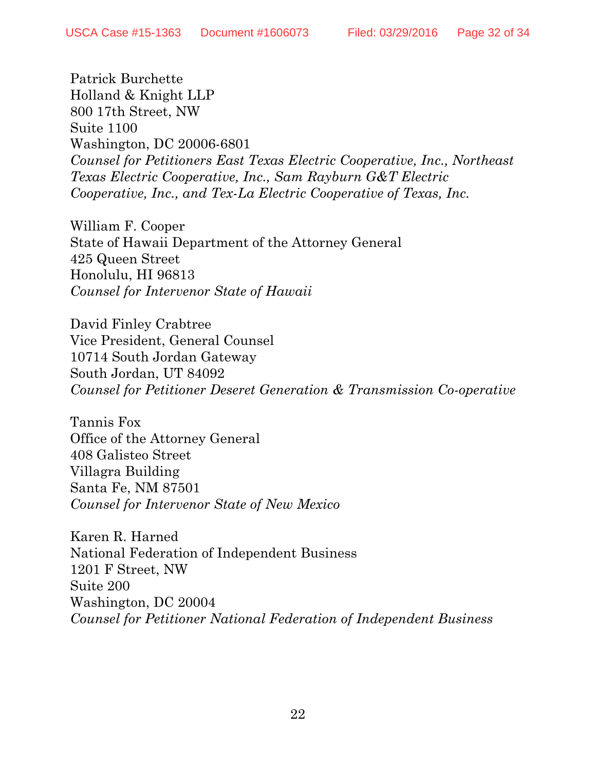Patrick Burchette Holland & Knight LLP 800 17th Street, NW Suite 1100 Washington, DC 20006-6801 *Counsel for Petitioners East Texas Electric Cooperative, Inc., Northeast Texas Electric Cooperative, Inc., Sam Rayburn G&T Electric Cooperative, Inc., and Tex-La Electric Cooperative of Texas, Inc.* 

William F. Cooper State of Hawaii Department of the Attorney General 425 Queen Street Honolulu, HI 96813 *Counsel for Intervenor State of Hawaii*

David Finley Crabtree Vice President, General Counsel 10714 South Jordan Gateway South Jordan, UT 84092 *Counsel for Petitioner Deseret Generation & Transmission Co-operative*

Tannis Fox Office of the Attorney General 408 Galisteo Street Villagra Building Santa Fe, NM 87501 *Counsel for Intervenor State of New Mexico* 

Karen R. Harned National Federation of Independent Business 1201 F Street, NW Suite 200 Washington, DC 20004 *Counsel for Petitioner National Federation of Independent Business*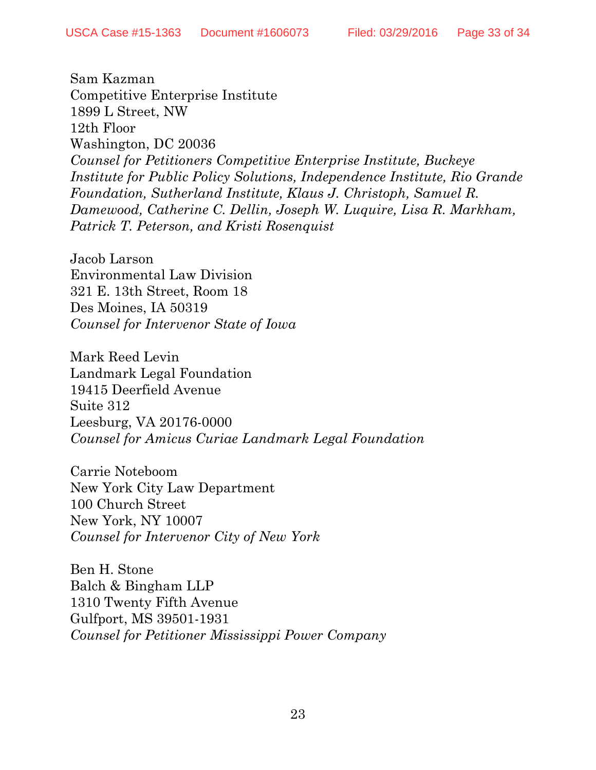Sam Kazman Competitive Enterprise Institute 1899 L Street, NW 12th Floor Washington, DC 20036 *Counsel for Petitioners Competitive Enterprise Institute, Buckeye Institute for Public Policy Solutions, Independence Institute, Rio Grande Foundation, Sutherland Institute, Klaus J. Christoph, Samuel R. Damewood, Catherine C. Dellin, Joseph W. Luquire, Lisa R. Markham, Patrick T. Peterson, and Kristi Rosenquist* 

Jacob Larson Environmental Law Division 321 E. 13th Street, Room 18 Des Moines, IA 50319 *Counsel for Intervenor State of Iowa*

Mark Reed Levin Landmark Legal Foundation 19415 Deerfield Avenue Suite 312 Leesburg, VA 20176-0000 *Counsel for Amicus Curiae Landmark Legal Foundation* 

Carrie Noteboom New York City Law Department 100 Church Street New York, NY 10007 *Counsel for Intervenor City of New York* 

Ben H. Stone Balch & Bingham LLP 1310 Twenty Fifth Avenue Gulfport, MS 39501-1931 *Counsel for Petitioner Mississippi Power Company*